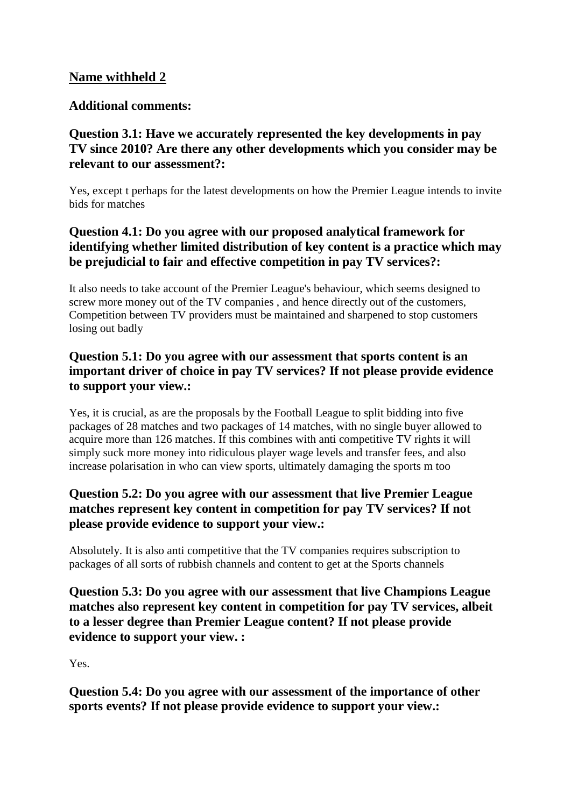# **Name withheld 2**

## **Additional comments:**

## **Question 3.1: Have we accurately represented the key developments in pay TV since 2010? Are there any other developments which you consider may be relevant to our assessment?:**

Yes, except t perhaps for the latest developments on how the Premier League intends to invite bids for matches

# **Question 4.1: Do you agree with our proposed analytical framework for identifying whether limited distribution of key content is a practice which may be prejudicial to fair and effective competition in pay TV services?:**

It also needs to take account of the Premier League's behaviour, which seems designed to screw more money out of the TV companies , and hence directly out of the customers, Competition between TV providers must be maintained and sharpened to stop customers losing out badly

## **Question 5.1: Do you agree with our assessment that sports content is an important driver of choice in pay TV services? If not please provide evidence to support your view.:**

Yes, it is crucial, as are the proposals by the Football League to split bidding into five packages of 28 matches and two packages of 14 matches, with no single buyer allowed to acquire more than 126 matches. If this combines with anti competitive TV rights it will simply suck more money into ridiculous player wage levels and transfer fees, and also increase polarisation in who can view sports, ultimately damaging the sports m too

# **Question 5.2: Do you agree with our assessment that live Premier League matches represent key content in competition for pay TV services? If not please provide evidence to support your view.:**

Absolutely. It is also anti competitive that the TV companies requires subscription to packages of all sorts of rubbish channels and content to get at the Sports channels

**Question 5.3: Do you agree with our assessment that live Champions League matches also represent key content in competition for pay TV services, albeit to a lesser degree than Premier League content? If not please provide evidence to support your view. :**

Yes.

**Question 5.4: Do you agree with our assessment of the importance of other sports events? If not please provide evidence to support your view.:**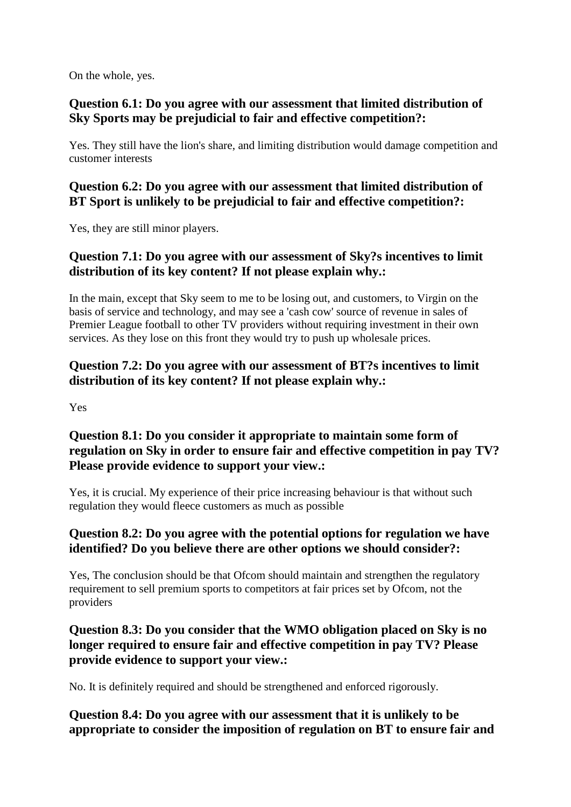On the whole, yes.

## **Question 6.1: Do you agree with our assessment that limited distribution of Sky Sports may be prejudicial to fair and effective competition?:**

Yes. They still have the lion's share, and limiting distribution would damage competition and customer interests

#### **Question 6.2: Do you agree with our assessment that limited distribution of BT Sport is unlikely to be prejudicial to fair and effective competition?:**

Yes, they are still minor players.

### **Question 7.1: Do you agree with our assessment of Sky?s incentives to limit distribution of its key content? If not please explain why.:**

In the main, except that Sky seem to me to be losing out, and customers, to Virgin on the basis of service and technology, and may see a 'cash cow' source of revenue in sales of Premier League football to other TV providers without requiring investment in their own services. As they lose on this front they would try to push up wholesale prices.

# **Question 7.2: Do you agree with our assessment of BT?s incentives to limit distribution of its key content? If not please explain why.:**

Yes

# **Question 8.1: Do you consider it appropriate to maintain some form of regulation on Sky in order to ensure fair and effective competition in pay TV? Please provide evidence to support your view.:**

Yes, it is crucial. My experience of their price increasing behaviour is that without such regulation they would fleece customers as much as possible

# **Question 8.2: Do you agree with the potential options for regulation we have identified? Do you believe there are other options we should consider?:**

Yes, The conclusion should be that Ofcom should maintain and strengthen the regulatory requirement to sell premium sports to competitors at fair prices set by Ofcom, not the providers

# **Question 8.3: Do you consider that the WMO obligation placed on Sky is no longer required to ensure fair and effective competition in pay TV? Please provide evidence to support your view.:**

No. It is definitely required and should be strengthened and enforced rigorously.

# **Question 8.4: Do you agree with our assessment that it is unlikely to be appropriate to consider the imposition of regulation on BT to ensure fair and**